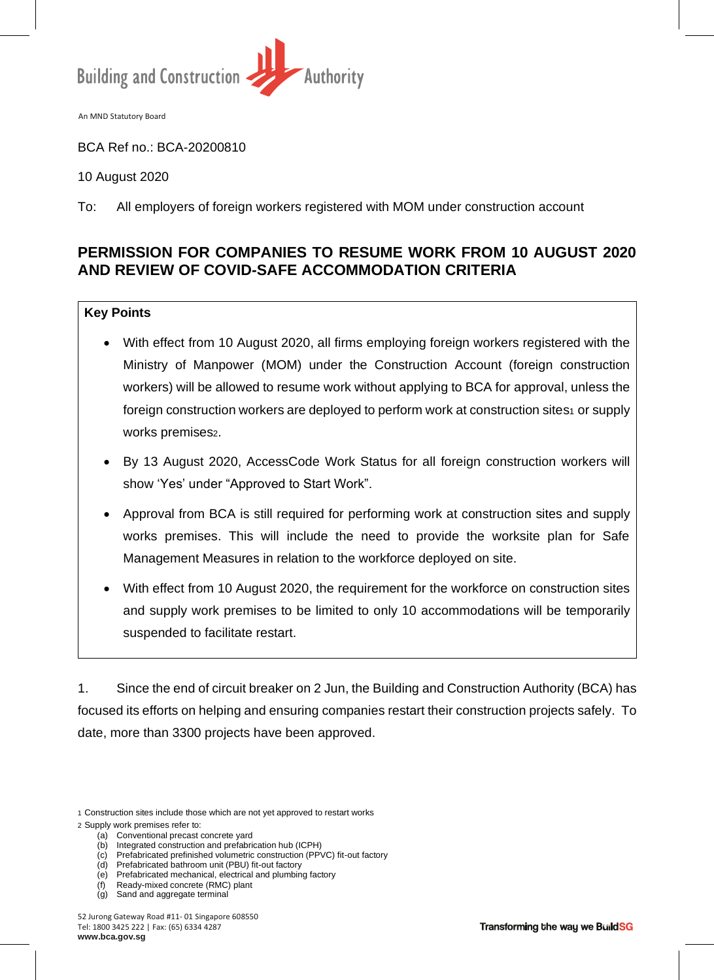

BCA Ref no.: BCA-20200810

10 August 2020

To: All employers of foreign workers registered with MOM under construction account

# **PERMISSION FOR COMPANIES TO RESUME WORK FROM 10 AUGUST 2020 AND REVIEW OF COVID-SAFE ACCOMMODATION CRITERIA**

## **Key Points**

- With effect from 10 August 2020, all firms employing foreign workers registered with the Ministry of Manpower (MOM) under the Construction Account (foreign construction workers) will be allowed to resume work without applying to BCA for approval, unless the foreign construction workers are deployed to perform work at construction sites1 or supply works premises<sub>2</sub>.
- By 13 August 2020, AccessCode Work Status for all foreign construction workers will show 'Yes' under "Approved to Start Work".
- Approval from BCA is still required for performing work at construction sites and supply works premises. This will include the need to provide the worksite plan for Safe Management Measures in relation to the workforce deployed on site.
- With effect from 10 August 2020, the requirement for the workforce on construction sites and supply work premises to be limited to only 10 accommodations will be temporarily suspended to facilitate restart.

1. Since the end of circuit breaker on 2 Jun, the Building and Construction Authority (BCA) has focused its efforts on helping and ensuring companies restart their construction projects safely. To date, more than 3300 projects have been approved.

- 1 Construction sites include those which are not yet approved to restart works
- 2 Supply work premises refer to:
	- (a) Conventional precast concrete yard
	- (b) Integrated construction and prefabrication hub (ICPH) (c) Prefabricated prefinished volumetric construction (PPVC) fit-out factory
	- (d) Prefabricated bathroom unit (PBU) fit-out factory
	- (e) Prefabricated mechanical, electrical and plumbing factory
	- Ready-mixed concrete (RMC) plant
	- (g) Sand and aggregate terminal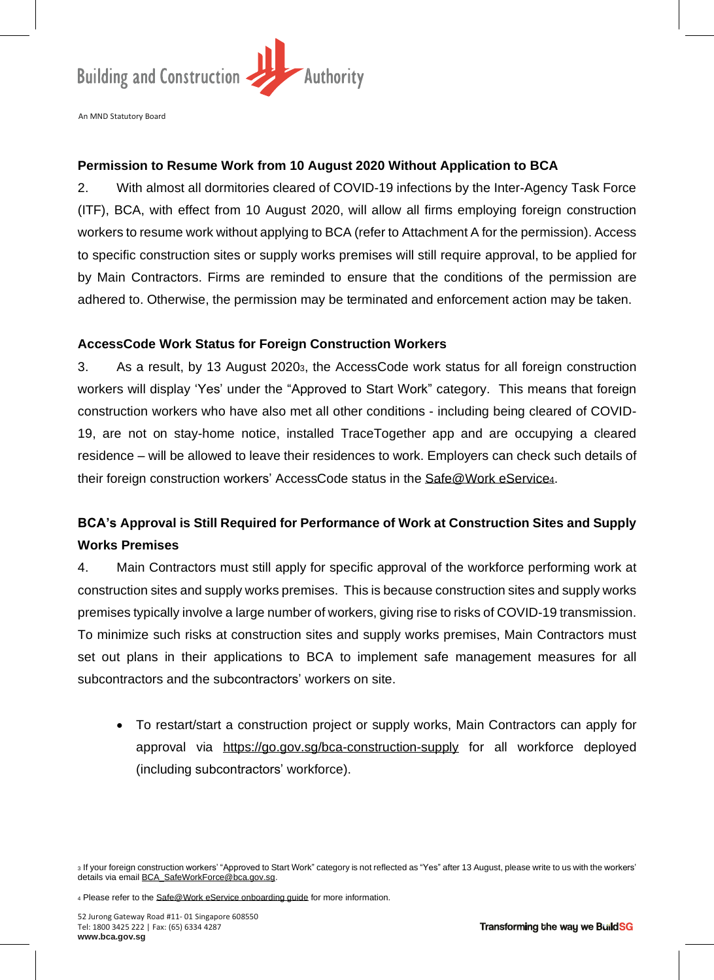

### **Permission to Resume Work from 10 August 2020 Without Application to BCA**

2. With almost all dormitories cleared of COVID-19 infections by the Inter-Agency Task Force (ITF), BCA, with effect from 10 August 2020, will allow all firms employing foreign construction workers to resume work without applying to BCA (refer to Attachment A for the permission). Access to specific construction sites or supply works premises will still require approval, to be applied for by Main Contractors. Firms are reminded to ensure that the conditions of the permission are adhered to. Otherwise, the permission may be terminated and enforcement action may be taken.

#### **AccessCode Work Status for Foreign Construction Workers**

3. As a result, by 13 August 20203, the AccessCode work status for all foreign construction workers will display 'Yes' under the "Approved to Start Work" category. This means that foreign construction workers who have also met all other conditions - including being cleared of COVID-19, are not on stay-home notice, installed TraceTogether app and are occupying a cleared residence – will be allowed to leave their residences to work. Employers can check such details of their foreign construction workers' AccessCode status in the [Safe@Work](https://www.mom.gov.sg/eservices/services/safe-work) eService4.

# **BCA's Approval is Still Required for Performance of Work at Construction Sites and Supply Works Premises**

4. Main Contractors must still apply for specific approval of the workforce performing work at construction sites and supply works premises. This is because construction sites and supply works premises typically involve a large number of workers, giving rise to risks of COVID-19 transmission. To minimize such risks at construction sites and supply works premises, Main Contractors must set out plans in their applications to BCA to implement safe management measures for all subcontractors and the subcontractors' workers on site.

• To restart/start a construction project or supply works, Main Contractors can apply for approval via <https://go.gov.sg/bca-construction-supply> for all workforce deployed (including subcontractors' workforce).

<sup>3</sup> If your foreign construction workers' "Approved to Start Work" category is not reflected as "Yes" after 13 August, please write to us with the workers' details via email [BCA\\_SafeWorkForce@bca.gov.sg.](mailto:BCA_SafeWorkForce@bca.gov.sg)

4 Please refer to th[e Safe@Work eService onboarding guide](https://www.mom.gov.sg/-/media/mom/documents/safety-health/user-guides/safe-work/user-guide-safe-work.pdf) for more information.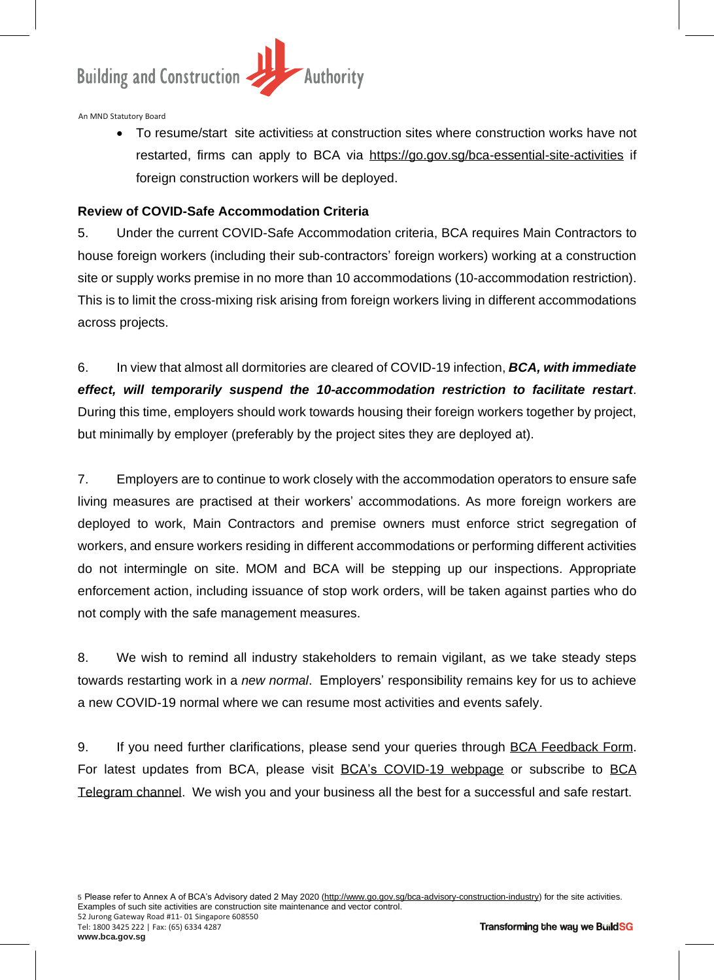

• To resume/start site activitiess at construction sites where construction works have not restarted, firms can apply to BCA via <https://go.gov.sg/bca-essential-site-activities> if foreign construction workers will be deployed.

### **Review of COVID-Safe Accommodation Criteria**

5. Under the current COVID-Safe Accommodation criteria, BCA requires Main Contractors to house foreign workers (including their sub-contractors' foreign workers) working at a construction site or supply works premise in no more than 10 accommodations (10-accommodation restriction). This is to limit the cross-mixing risk arising from foreign workers living in different accommodations across projects.

6. In view that almost all dormitories are cleared of COVID-19 infection, *BCA, with immediate effect, will temporarily suspend the 10-accommodation restriction to facilitate restart*. During this time, employers should work towards housing their foreign workers together by project, but minimally by employer (preferably by the project sites they are deployed at).

7. Employers are to continue to work closely with the accommodation operators to ensure safe living measures are practised at their workers' accommodations. As more foreign workers are deployed to work, Main Contractors and premise owners must enforce strict segregation of workers, and ensure workers residing in different accommodations or performing different activities do not intermingle on site. MOM and BCA will be stepping up our inspections. Appropriate enforcement action, including issuance of stop work orders, will be taken against parties who do not comply with the safe management measures.

8. We wish to remind all industry stakeholders to remain vigilant, as we take steady steps towards restarting work in a *new normal*. Employers' responsibility remains key for us to achieve a new COVID-19 normal where we can resume most activities and events safely.

9. If you need further clarifications, please send your queries through BCA [Feedback](http://www.bca.gov.sg/feedbackform/) Form. For latest updates from BCA, please visit BCA's [COVID-19](http://www.bca.gov.sg/COVID-19) webpage or subscribe to [BCA](file:///C:/Users/bca_eeleng/AppData/Local/Microsoft/Windows/INetCache/Content.Outlook/8NWCDXU4/t.me/BCASingapore) [Telegram](file:///C:/Users/bca_eeleng/AppData/Local/Microsoft/Windows/INetCache/Content.Outlook/8NWCDXU4/t.me/BCASingapore) channel. We wish you and your business all the best for a successful and safe restart.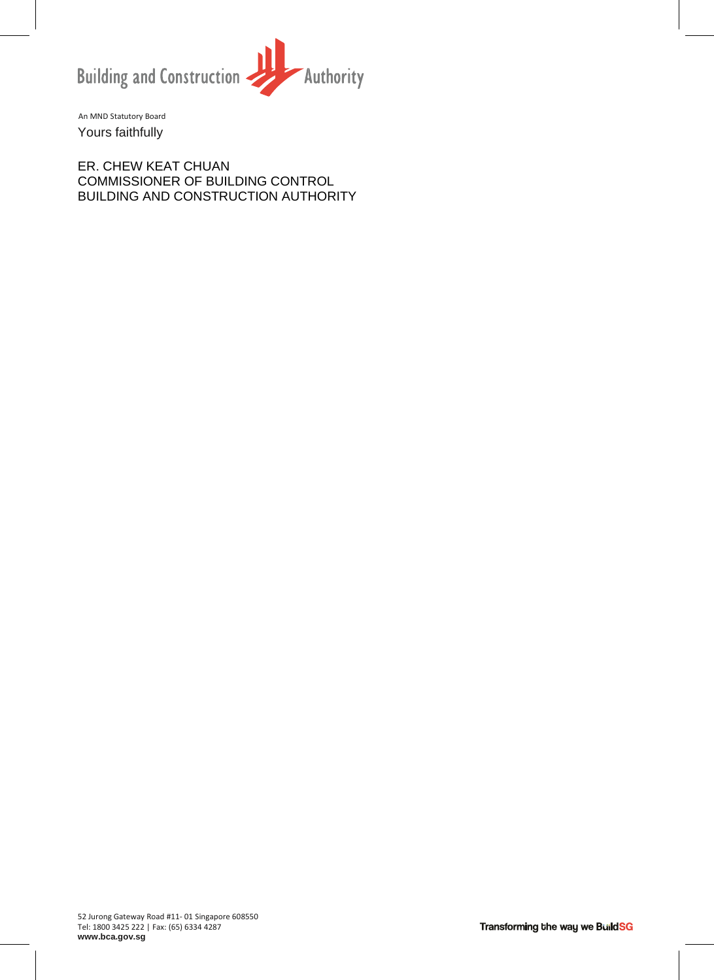

An MND Statutory Board Yours faithfully

ER. CHEW KEAT CHUAN COMMISSIONER OF BUILDING CONTROL BUILDING AND CONSTRUCTION AUTHORITY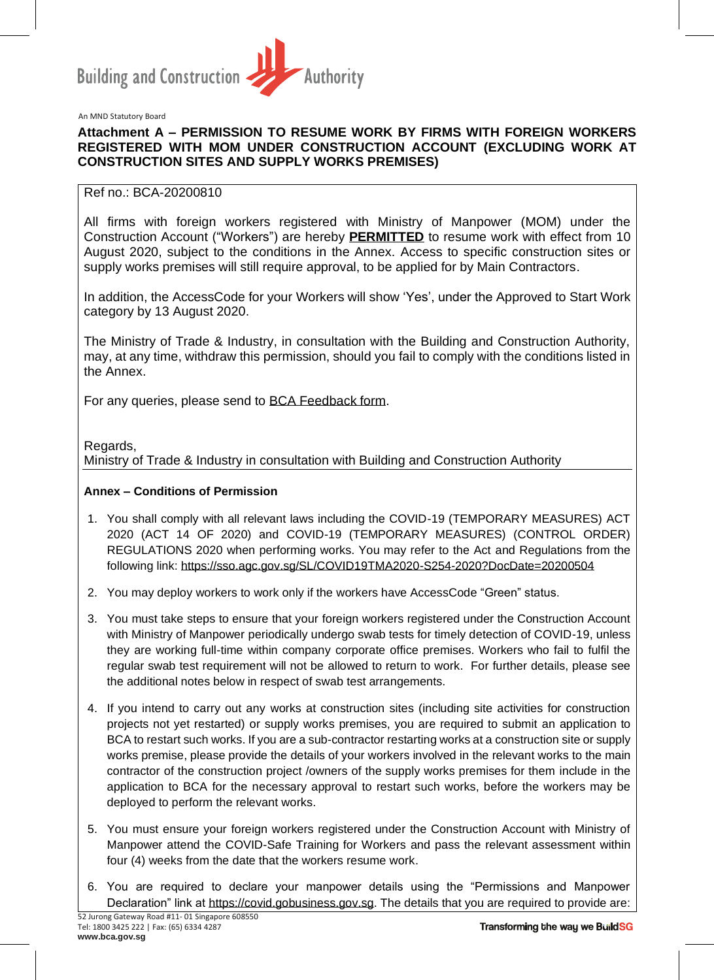

### **Attachment A – PERMISSION TO RESUME WORK BY FIRMS WITH FOREIGN WORKERS REGISTERED WITH MOM UNDER CONSTRUCTION ACCOUNT (EXCLUDING WORK AT CONSTRUCTION SITES AND SUPPLY WORKS PREMISES)**

#### Ref no.: BCA-20200810

All firms with foreign workers registered with Ministry of Manpower (MOM) under the Construction Account ("Workers") are hereby **PERMITTED** to resume work with effect from 10 August 2020, subject to the conditions in the Annex. Access to specific construction sites or supply works premises will still require approval, to be applied for by Main Contractors.

In addition, the AccessCode for your Workers will show 'Yes', under the Approved to Start Work category by 13 August 2020.

The Ministry of Trade & Industry, in consultation with the Building and Construction Authority, may, at any time, withdraw this permission, should you fail to comply with the conditions listed in the Annex.

For any queries, please send to [BCA Feedback form.](http://www.bca.gov.sg/feedbackform/)

Regards,

Ministry of Trade & Industry in consultation with Building and Construction Authority

### **Annex – Conditions of Permission**

- 1. You shall comply with all relevant laws including the COVID-19 (TEMPORARY MEASURES) ACT 2020 (ACT 14 OF 2020) and COVID-19 (TEMPORARY MEASURES) (CONTROL ORDER) REGULATIONS 2020 when performing works. You may refer to the Act and Regulations from the following link:<https://sso.agc.gov.sg/SL/COVID19TMA2020-S254-2020?DocDate=20200504>
- 2. You may deploy workers to work only if the workers have AccessCode "Green" status.
- 3. You must take steps to ensure that your foreign workers registered under the Construction Account with Ministry of Manpower periodically undergo swab tests for timely detection of COVID-19, unless they are working full-time within company corporate office premises. Workers who fail to fulfil the regular swab test requirement will not be allowed to return to work. For further details, please see the additional notes below in respect of swab test arrangements.
- 4. If you intend to carry out any works at construction sites (including site activities for construction projects not yet restarted) or supply works premises, you are required to submit an application to BCA to restart such works. If you are a sub-contractor restarting works at a construction site or supply works premise, please provide the details of your workers involved in the relevant works to the main contractor of the construction project /owners of the supply works premises for them include in the application to BCA for the necessary approval to restart such works, before the workers may be deployed to perform the relevant works.
- 5. You must ensure your foreign workers registered under the Construction Account with Ministry of Manpower attend the COVID-Safe Training for Workers and pass the relevant assessment within four (4) weeks from the date that the workers resume work.
- 6. You are required to declare your manpower details using the "Permissions and Manpower Declaration" link at [https://covid.gobusiness.gov.sg.](https://covid.gobusiness.gov.sg/) The details that you are required to provide are: